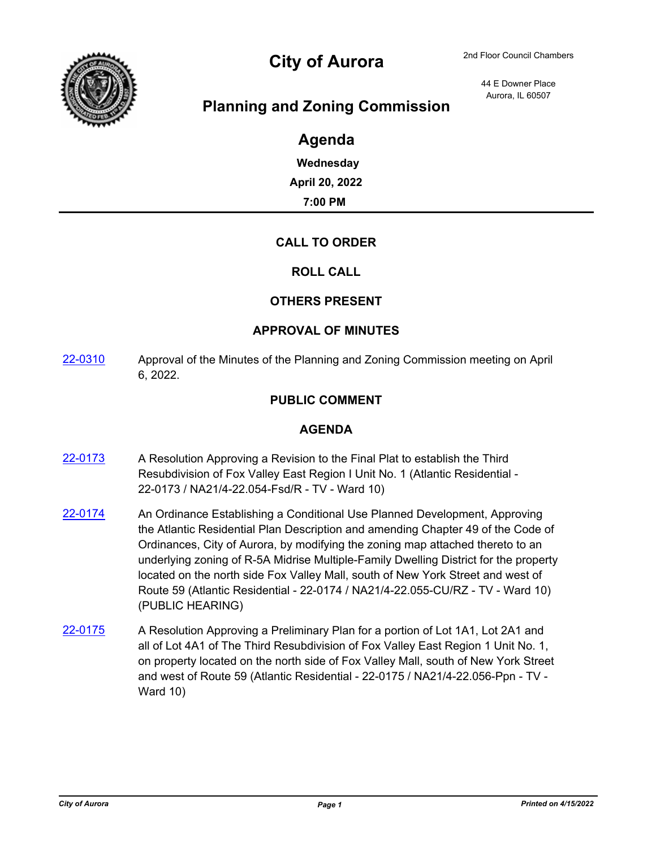

# City of Aurora 2nd Floor Council Chambers

44 E Downer Place Aurora, IL 60507

## **Planning and Zoning Commission**

## **Agenda**

**Wednesday April 20, 2022**

**7:00 PM**

### **CALL TO ORDER**

#### **ROLL CALL**

### **OTHERS PRESENT**

#### **APPROVAL OF MINUTES**

[22-0310](http://aurora-il.legistar.com/gateway.aspx?m=l&id=/matter.aspx?key=11399) Approval of the Minutes of the Planning and Zoning Commission meeting on April 6, 2022.

### **PUBLIC COMMENT**

## **AGENDA**

- $22-0173$  A Resolution Approving a Revision to the Final Plat to establish the Third Resubdivision of Fox Valley East Region I Unit No. 1 (Atlantic Residential - 22-0173 / NA21/4-22.054-Fsd/R - TV - Ward 10)
- [22-0174](http://aurora-il.legistar.com/gateway.aspx?m=l&id=/matter.aspx?key=11263) An Ordinance Establishing a Conditional Use Planned Development, Approving the Atlantic Residential Plan Description and amending Chapter 49 of the Code of Ordinances, City of Aurora, by modifying the zoning map attached thereto to an underlying zoning of R-5A Midrise Multiple-Family Dwelling District for the property located on the north side Fox Valley Mall, south of New York Street and west of Route 59 (Atlantic Residential - 22-0174 / NA21/4-22.055-CU/RZ - TV - Ward 10) (PUBLIC HEARING)
- [22-0175](http://aurora-il.legistar.com/gateway.aspx?m=l&id=/matter.aspx?key=11264) A Resolution Approving a Preliminary Plan for a portion of Lot 1A1, Lot 2A1 and all of Lot 4A1 of The Third Resubdivision of Fox Valley East Region 1 Unit No. 1, on property located on the north side of Fox Valley Mall, south of New York Street and west of Route 59 (Atlantic Residential - 22-0175 / NA21/4-22.056-Ppn - TV - Ward 10)